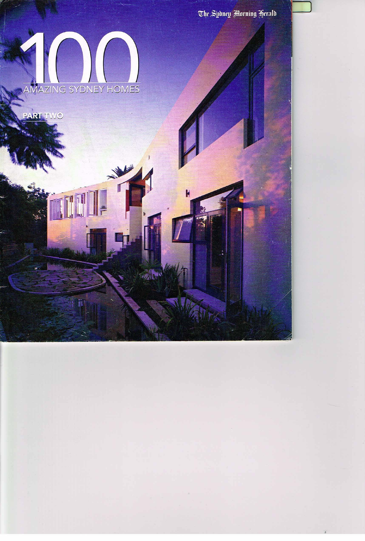The Sydney Morning Herald



## PART TWO